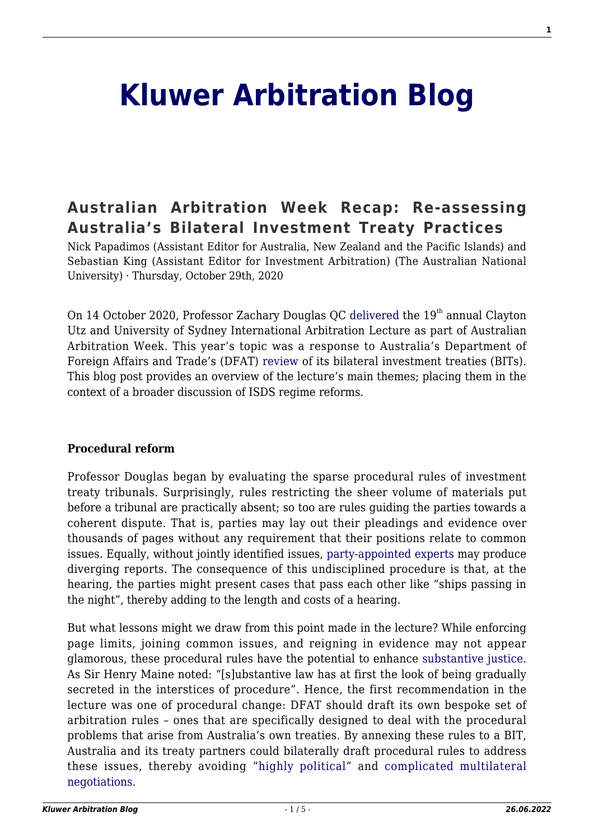# **[Kluwer Arbitration Blog](http://arbitrationblog.kluwerarbitration.com/)**

## **[Australian Arbitration Week Recap: Re-assessing](http://arbitrationblog.kluwerarbitration.com/2020/10/29/australian-arbitration-week-recap-re-assessing-australias-bilateral-investment-treaty-practices/) [Australia's Bilateral Investment Treaty Practices](http://arbitrationblog.kluwerarbitration.com/2020/10/29/australian-arbitration-week-recap-re-assessing-australias-bilateral-investment-treaty-practices/)**

Nick Papadimos (Assistant Editor for Australia, New Zealand and the Pacific Islands) and Sebastian King (Assistant Editor for Investment Arbitration) (The Australian National University) · Thursday, October 29th, 2020

On 14 October 2020, Professor Zachary Douglas OC [delivered](https://www.claytonutz.com/ialecture/about-the-lecture) the  $19<sup>th</sup>$  annual Clayton Utz and University of Sydney International Arbitration Lecture as part of Australian Arbitration Week. This year's topic was a response to Australia's Department of Foreign Affairs and Trade's (DFAT) [review](https://www.dfat.gov.au/trade-and-investment/discussion-paper-review-australias-bilateral-investment-treaties) of its bilateral investment treaties (BITs). This blog post provides an overview of the lecture's main themes; placing them in the context of a broader discussion of ISDS regime reforms.

#### **Procedural reform**

Professor Douglas began by evaluating the sparse procedural rules of investment treaty tribunals. Surprisingly, rules restricting the sheer volume of materials put before a tribunal are practically absent; so too are rules guiding the parties towards a coherent dispute. That is, parties may lay out their pleadings and evidence over thousands of pages without any requirement that their positions relate to common issues. Equally, without jointly identified issues, [party-appointed experts](https://academic-oup-com.virtual.anu.edu.au/icsidreview/article/31/3/655/2374458) may produce diverging reports. The consequence of this undisciplined procedure is that, at the hearing, the parties might present cases that pass each other like "ships passing in the night", thereby adding to the length and costs of a hearing.

But what lessons might we draw from this point made in the lecture? While enforcing page limits, joining common issues, and reigning in evidence may not appear glamorous, these procedural rules have the potential to enhance [substantive justice](https://academic-oup-com.virtual.anu.edu.au/icsidreview/article/31/3/505/2374459). As Sir Henry Maine noted: "[s]ubstantive law has at first the look of being gradually secreted in the interstices of procedure". Hence, the first recommendation in the lecture was one of procedural change: DFAT should draft its own bespoke set of arbitration rules – ones that are specifically designed to deal with the procedural problems that arise from Australia's own treaties. By annexing these rules to a BIT, Australia and its treaty partners could bilaterally draft procedural rules to address these issues, thereby avoiding "[highly political](http://arbitrationblog.kluwerarbitration.com/2017/12/29/uncitral-isds-working-group-vienna-11-12-2017/)" and [complicated multilateral](http://arbitrationblog.kluwerarbitration.com/2020/03/14/the-icsid-reforms-and-working-paper-4-push-or-pull/) [negotiations.](http://arbitrationblog.kluwerarbitration.com/2020/03/14/the-icsid-reforms-and-working-paper-4-push-or-pull/)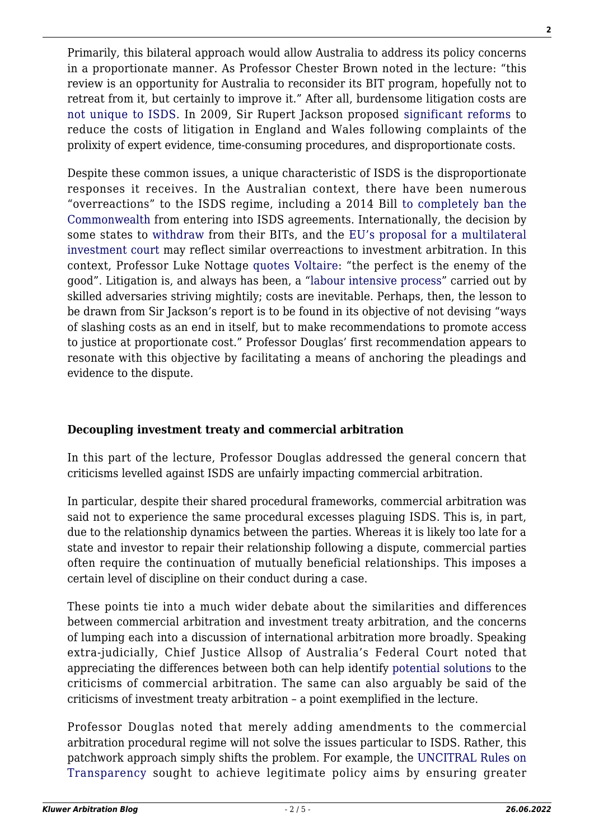Primarily, this bilateral approach would allow Australia to address its policy concerns in a proportionate manner. As Professor Chester Brown noted in the lecture: "this review is an opportunity for Australia to reconsider its BIT program, hopefully not to retreat from it, but certainly to improve it." After all, burdensome litigation costs are [not unique to ISDS.](http://arbitrationblog.kluwerarbitration.com/2019/01/01/costs-in-international-arbitration-are-changes-needed/) In 2009, Sir Rupert Jackson proposed [significant reforms](https://www.judiciary.uk/wp-content/uploads/JCO/Documents/Reports/jackson-final-report-140110.pdf) to reduce the costs of litigation in England and Wales following complaints of the prolixity of expert evidence, time-consuming procedures, and disproportionate costs.

Despite these common issues, a unique characteristic of ISDS is the disproportionate responses it receives. In the Australian context, there have been numerous "overreactions" to the ISDS regime, including a 2014 Bill [to completely ban the](http://arbitrationblog.kluwerarbitration.com/2014/08/27/the-anti-isds-bill-before-the-australian-senate/) [Commonwealth](http://arbitrationblog.kluwerarbitration.com/2014/08/27/the-anti-isds-bill-before-the-australian-senate/) from entering into ISDS agreements. Internationally, the decision by some states to [withdraw](http://arbitrationblog.kluwerarbitration.com/2017/12/06/booked-luke-nottage/) from their BITs, and the [EU's proposal for a multilateral](https://www.europarl.europa.eu/thinktank/en/document.html?reference=EPRS_BRI(2020)646147) [investment court](https://www.europarl.europa.eu/thinktank/en/document.html?reference=EPRS_BRI(2020)646147) may reflect similar overreactions to investment arbitration. In this context, Professor Luke Nottage [quotes Voltaire](https://www.aph.gov.au/DocumentStore.ashx?id=9c098f19-3b72-4109-a023-2ec0d9482c28&subId=662093): "the perfect is the enemy of the good". Litigation is, and always has been, a ["labour intensive process"](https://www.judiciary.uk/wp-content/uploads/JCO/Documents/Reports/jackson-final-report-140110.pdf) carried out by skilled adversaries striving mightily; costs are inevitable. Perhaps, then, the lesson to be drawn from Sir Jackson's report is to be found in its objective of not devising "ways of slashing costs as an end in itself, but to make recommendations to promote access to justice at proportionate cost." Professor Douglas' first recommendation appears to resonate with this objective by facilitating a means of anchoring the pleadings and evidence to the dispute.

#### **Decoupling investment treaty and commercial arbitration**

In this part of the lecture, Professor Douglas addressed the general concern that criticisms levelled against ISDS are unfairly impacting commercial arbitration.

In particular, despite their shared procedural frameworks, commercial arbitration was said not to experience the same procedural excesses plaguing ISDS. This is, in part, due to the relationship dynamics between the parties. Whereas it is likely too late for a state and investor to repair their relationship following a dispute, commercial parties often require the continuation of mutually beneficial relationships. This imposes a certain level of discipline on their conduct during a case.

These points tie into a much wider debate about the similarities and differences between commercial arbitration and investment treaty arbitration, and the concerns of lumping each into a discussion of international arbitration more broadly. Speaking extra-judicially, Chief Justice Allsop of Australia's Federal Court noted that appreciating the differences between both can help identify [potential solutions](https://www.fedcourt.gov.au/digital-law-library/judges-speeches/chief-justice-allsop/allsop-cj-20180416) to the criticisms of commercial arbitration. The same can also arguably be said of the criticisms of investment treaty arbitration – a point exemplified in the lecture.

Professor Douglas noted that merely adding amendments to the commercial arbitration procedural regime will not solve the issues particular to ISDS. Rather, this patchwork approach simply shifts the problem. For example, the [UNCITRAL Rules on](https://www.uncitral.org/pdf/english/texts/arbitration/rules-on-transparency/Rules-on-Transparency-E.pdf) [Transparency](https://www.uncitral.org/pdf/english/texts/arbitration/rules-on-transparency/Rules-on-Transparency-E.pdf) sought to achieve legitimate policy aims by ensuring greater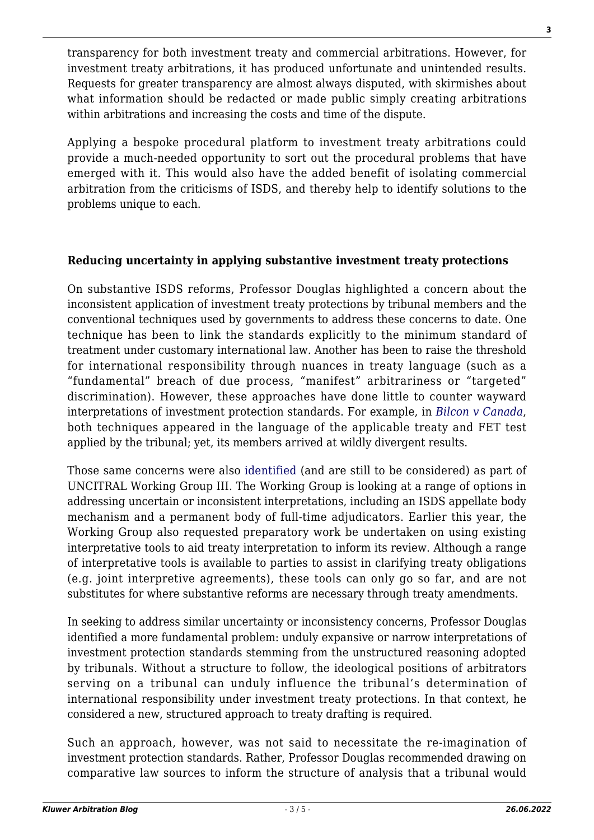transparency for both investment treaty and commercial arbitrations. However, for investment treaty arbitrations, it has produced unfortunate and unintended results. Requests for greater transparency are almost always disputed, with skirmishes about what information should be redacted or made public simply creating arbitrations within arbitrations and increasing the costs and time of the dispute.

Applying a bespoke procedural platform to investment treaty arbitrations could provide a much-needed opportunity to sort out the procedural problems that have emerged with it. This would also have the added benefit of isolating commercial arbitration from the criticisms of ISDS, and thereby help to identify solutions to the problems unique to each.

#### **Reducing uncertainty in applying substantive investment treaty protections**

On substantive ISDS reforms, Professor Douglas highlighted a concern about the inconsistent application of investment treaty protections by tribunal members and the conventional techniques used by governments to address these concerns to date. One technique has been to link the standards explicitly to the minimum standard of treatment under customary international law. Another has been to raise the threshold for international responsibility through nuances in treaty language (such as a "fundamental" breach of due process, "manifest" arbitrariness or "targeted" discrimination). However, these approaches have done little to counter wayward interpretations of investment protection standards. For example, in *[Bilcon v Canada](https://www.italaw.com/sites/default/files/case-documents/italaw4212.pdf)*, both techniques appeared in the language of the applicable treaty and FET test applied by the tribunal; yet, its members arrived at wildly divergent results.

Those same concerns were also [identified](https://uncitral.un.org/en/working_groups/3/investor-state) (and are still to be considered) as part of UNCITRAL Working Group III. The Working Group is looking at a range of options in addressing uncertain or inconsistent interpretations, including an ISDS appellate body mechanism and a permanent body of full-time adjudicators. Earlier this year, the Working Group also requested preparatory work be undertaken on using existing interpretative tools to aid treaty interpretation to inform its review. Although a range of interpretative tools is available to parties to assist in clarifying treaty obligations (e.g. joint interpretive agreements), these tools can only go so far, and are not substitutes for where substantive reforms are necessary through treaty amendments.

In seeking to address similar uncertainty or inconsistency concerns, Professor Douglas identified a more fundamental problem: unduly expansive or narrow interpretations of investment protection standards stemming from the unstructured reasoning adopted by tribunals. Without a structure to follow, the ideological positions of arbitrators serving on a tribunal can unduly influence the tribunal's determination of international responsibility under investment treaty protections. In that context, he considered a new, structured approach to treaty drafting is required.

Such an approach, however, was not said to necessitate the re-imagination of investment protection standards. Rather, Professor Douglas recommended drawing on comparative law sources to inform the structure of analysis that a tribunal would

**3**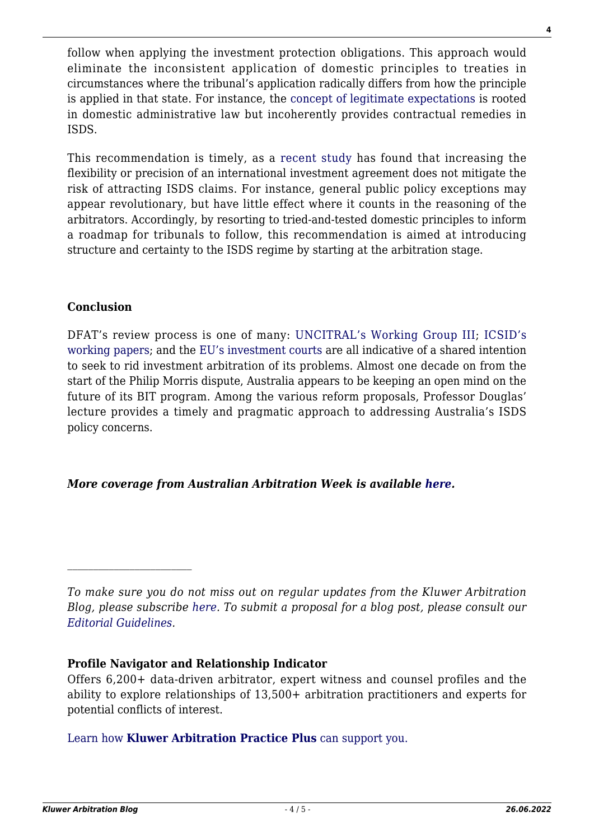follow when applying the investment protection obligations. This approach would eliminate the inconsistent application of domestic principles to treaties in circumstances where the tribunal's application radically differs from how the principle is applied in that state. For instance, the [concept of legitimate expectations](http://arbitrationblog.kluwerarbitration.com/2017/01/10/legitimate-expectations-in-the-vattenfall-case-at-the-heart-of-the-debate-over-isds/) is rooted in domestic administrative law but incoherently provides contractual remedies in ISDS.

This recommendation is timely, as a [recent study](https://academic.oup.com/isq/advance-article/doi/10.1093/isq/sqaa053/5881992) has found that increasing the flexibility or precision of an international investment agreement does not mitigate the risk of attracting ISDS claims. For instance, general public policy exceptions may appear revolutionary, but have little effect where it counts in the reasoning of the arbitrators. Accordingly, by resorting to tried-and-tested domestic principles to inform a roadmap for tribunals to follow, this recommendation is aimed at introducing structure and certainty to the ISDS regime by starting at the arbitration stage.

#### **Conclusion**

DFAT's review process is one of many: [UNCITRAL's Working Group III;](http://arbitrationblog.kluwerarbitration.com/2020/03/23/uncitral-working-group-iii-an-introduction-and-update/) [ICSID's](http://arbitrationblog.kluwerarbitration.com/2020/03/14/the-icsid-reforms-and-working-paper-4-push-or-pull/) [working papers;](http://arbitrationblog.kluwerarbitration.com/2020/03/14/the-icsid-reforms-and-working-paper-4-push-or-pull/) and the [EU's investment courts](http://arbitrationblog.kluwerarbitration.com/2020/03/24/uncitral-working-group-iii-one-step-closer-to-a-multilateral-investment-court/) are all indicative of a shared intention to seek to rid investment arbitration of its problems. Almost one decade on from the start of the Philip Morris dispute, Australia appears to be keeping an open mind on the future of its BIT program. Among the various reform proposals, Professor Douglas' lecture provides a timely and pragmatic approach to addressing Australia's ISDS policy concerns.

### *More coverage from Australian Arbitration Week is available [here.](http://arbitrationblog.kluwerarbitration.com/category/australian-arbitration-week/)*

*To make sure you do not miss out on regular updates from the Kluwer Arbitration Blog, please subscribe [here](http://arbitrationblog.kluwerarbitration.com/newsletter/). To submit a proposal for a blog post, please consult our [Editorial Guidelines.](http://arbitrationblog.kluwerarbitration.com/editorial-guidelines/)*

#### **Profile Navigator and Relationship Indicator**

Offers 6,200+ data-driven arbitrator, expert witness and counsel profiles and the ability to explore relationships of 13,500+ arbitration practitioners and experts for potential conflicts of interest.

[Learn how](https://www.wolterskluwer.com/en/solutions/kluwerarbitration/practiceplus?utm_source=arbitrationblog&utm_medium=articleCTA&utm_campaign=article-banner) **[Kluwer Arbitration Practice Plus](https://www.wolterskluwer.com/en/solutions/kluwerarbitration/practiceplus?utm_source=arbitrationblog&utm_medium=articleCTA&utm_campaign=article-banner)** [can support you.](https://www.wolterskluwer.com/en/solutions/kluwerarbitration/practiceplus?utm_source=arbitrationblog&utm_medium=articleCTA&utm_campaign=article-banner)